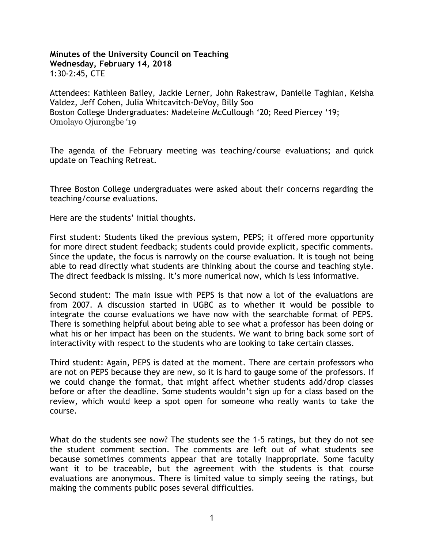## **Minutes of the University Council on Teaching Wednesday, February 14, 2018** 1:30-2:45, CTE

Attendees: Kathleen Bailey, Jackie Lerner, John Rakestraw, Danielle Taghian, Keisha Valdez, Jeff Cohen, Julia Whitcavitch-DeVoy, Billy Soo Boston College Undergraduates: Madeleine McCullough '20; Reed Piercey '19; Omolayo Ojurongbe '19

The agenda of the February meeting was teaching/course evaluations; and quick update on Teaching Retreat.

Three Boston College undergraduates were asked about their concerns regarding the teaching/course evaluations.

Here are the students' initial thoughts.

First student: Students liked the previous system, PEPS; it offered more opportunity for more direct student feedback; students could provide explicit, specific comments. Since the update, the focus is narrowly on the course evaluation. It is tough not being able to read directly what students are thinking about the course and teaching style. The direct feedback is missing. It's more numerical now, which is less informative.

Second student: The main issue with PEPS is that now a lot of the evaluations are from 2007. A discussion started in UGBC as to whether it would be possible to integrate the course evaluations we have now with the searchable format of PEPS. There is something helpful about being able to see what a professor has been doing or what his or her impact has been on the students. We want to bring back some sort of interactivity with respect to the students who are looking to take certain classes.

Third student: Again, PEPS is dated at the moment. There are certain professors who are not on PEPS because they are new, so it is hard to gauge some of the professors. If we could change the format, that might affect whether students add/drop classes before or after the deadline. Some students wouldn't sign up for a class based on the review, which would keep a spot open for someone who really wants to take the course.

What do the students see now? The students see the 1-5 ratings, but they do not see the student comment section. The comments are left out of what students see because sometimes comments appear that are totally inappropriate. Some faculty want it to be traceable, but the agreement with the students is that course evaluations are anonymous. There is limited value to simply seeing the ratings, but making the comments public poses several difficulties.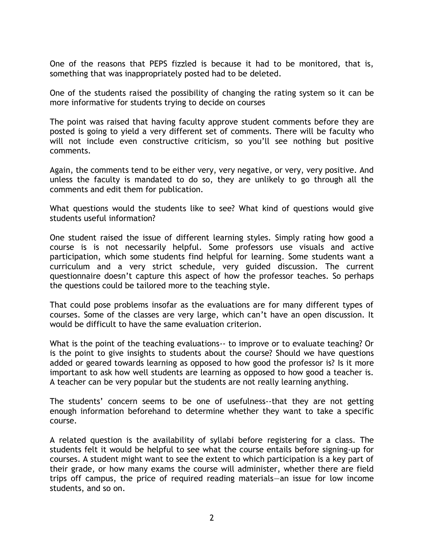One of the reasons that PEPS fizzled is because it had to be monitored, that is, something that was inappropriately posted had to be deleted.

One of the students raised the possibility of changing the rating system so it can be more informative for students trying to decide on courses

The point was raised that having faculty approve student comments before they are posted is going to yield a very different set of comments. There will be faculty who will not include even constructive criticism, so you'll see nothing but positive comments.

Again, the comments tend to be either very, very negative, or very, very positive. And unless the faculty is mandated to do so, they are unlikely to go through all the comments and edit them for publication.

What questions would the students like to see? What kind of questions would give students useful information?

One student raised the issue of different learning styles. Simply rating how good a course is is not necessarily helpful. Some professors use visuals and active participation, which some students find helpful for learning. Some students want a curriculum and a very strict schedule, very guided discussion. The current questionnaire doesn't capture this aspect of how the professor teaches. So perhaps the questions could be tailored more to the teaching style.

That could pose problems insofar as the evaluations are for many different types of courses. Some of the classes are very large, which can't have an open discussion. It would be difficult to have the same evaluation criterion.

What is the point of the teaching evaluations-- to improve or to evaluate teaching? Or is the point to give insights to students about the course? Should we have questions added or geared towards learning as opposed to how good the professor is? Is it more important to ask how well students are learning as opposed to how good a teacher is. A teacher can be very popular but the students are not really learning anything.

The students' concern seems to be one of usefulness--that they are not getting enough information beforehand to determine whether they want to take a specific course.

A related question is the availability of syllabi before registering for a class. The students felt it would be helpful to see what the course entails before signing-up for courses. A student might want to see the extent to which participation is a key part of their grade, or how many exams the course will administer, whether there are field trips off campus, the price of required reading materials—an issue for low income students, and so on.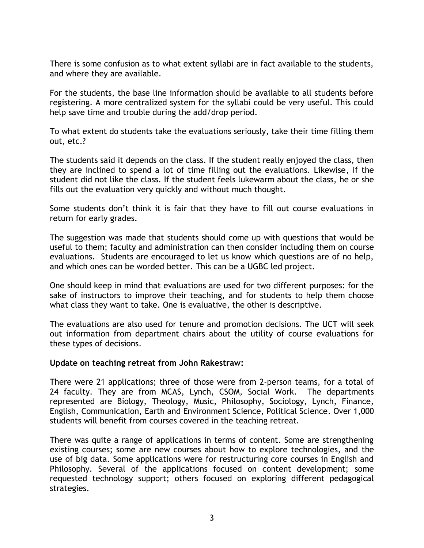There is some confusion as to what extent syllabi are in fact available to the students, and where they are available.

For the students, the base line information should be available to all students before registering. A more centralized system for the syllabi could be very useful. This could help save time and trouble during the add/drop period.

To what extent do students take the evaluations seriously, take their time filling them out, etc.?

The students said it depends on the class. If the student really enjoyed the class, then they are inclined to spend a lot of time filling out the evaluations. Likewise, if the student did not like the class. If the student feels lukewarm about the class, he or she fills out the evaluation very quickly and without much thought.

Some students don't think it is fair that they have to fill out course evaluations in return for early grades.

The suggestion was made that students should come up with questions that would be useful to them; faculty and administration can then consider including them on course evaluations. Students are encouraged to let us know which questions are of no help, and which ones can be worded better. This can be a UGBC led project.

One should keep in mind that evaluations are used for two different purposes: for the sake of instructors to improve their teaching, and for students to help them choose what class they want to take. One is evaluative, the other is descriptive.

The evaluations are also used for tenure and promotion decisions. The UCT will seek out information from department chairs about the utility of course evaluations for these types of decisions.

## **Update on teaching retreat from John Rakestraw:**

There were 21 applications; three of those were from 2-person teams, for a total of 24 faculty. They are from MCAS, Lynch, CSOM, Social Work. The departments represented are Biology, Theology, Music, Philosophy, Sociology, Lynch, Finance, English, Communication, Earth and Environment Science, Political Science. Over 1,000 students will benefit from courses covered in the teaching retreat.

There was quite a range of applications in terms of content. Some are strengthening existing courses; some are new courses about how to explore technologies, and the use of big data. Some applications were for restructuring core courses in English and Philosophy. Several of the applications focused on content development; some requested technology support; others focused on exploring different pedagogical strategies.